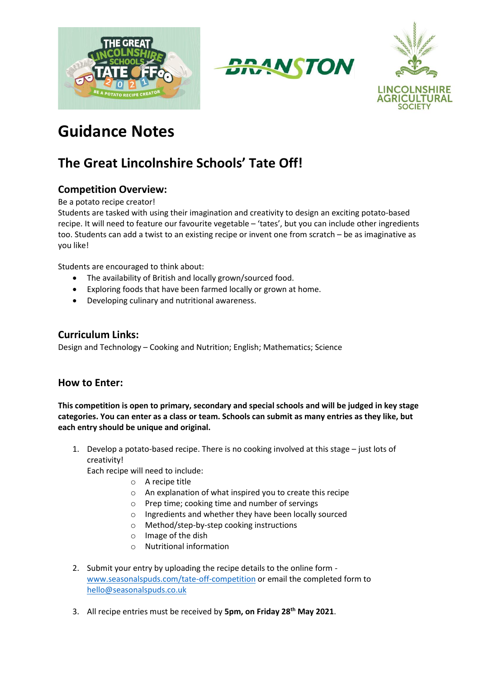





# **Guidance Notes**

# **The Great Lincolnshire Schools' Tate Off!**

# **Competition Overview:**

Be a potato recipe creator!

Students are tasked with using their imagination and creativity to design an exciting potato-based recipe. It will need to feature our favourite vegetable – 'tates', but you can include other ingredients too. Students can add a twist to an existing recipe or invent one from scratch – be as imaginative as you like!

Students are encouraged to think about:

- The availability of British and locally grown/sourced food.
- Exploring foods that have been farmed locally or grown at home.
- Developing culinary and nutritional awareness.

### **Curriculum Links:**

Design and Technology – Cooking and Nutrition; English; Mathematics; Science

#### **How to Enter:**

**This competition is open to primary, secondary and special schools and will be judged in key stage categories. You can enter as a class or team. Schools can submit as many entries as they like, but each entry should be unique and original.** 

1. Develop a potato-based recipe. There is no cooking involved at this stage – just lots of creativity!

Each recipe will need to include:

- o A recipe title
- o An explanation of what inspired you to create this recipe
- o Prep time; cooking time and number of servings
- o Ingredients and whether they have been locally sourced
- o Method/step-by-step cooking instructions
- o Image of the dish
- o Nutritional information
- 2. Submit your entry by uploading the recipe details to the online form [www.seasonalspuds.com/tate-off-competition](http://www.seasonalspuds.com/tate-off-competition) or email the completed form to [hello@seasonalspuds.co.uk](mailto:hello@seasonalspuds.co.uk)
- 3. All recipe entries must be received by **5pm, on Friday 28th May 2021**.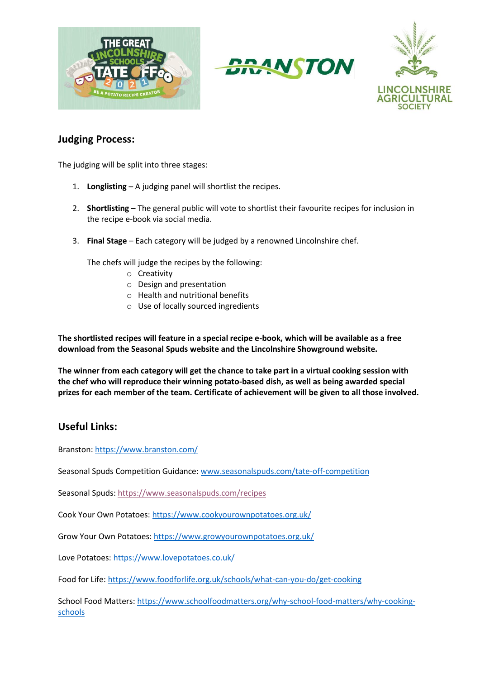





#### **Judging Process:**

The judging will be split into three stages:

- 1. **Longlisting** A judging panel will shortlist the recipes.
- 2. **Shortlisting** The general public will vote to shortlist their favourite recipes for inclusion in the recipe e-book via social media.
- 3. **Final Stage** Each category will be judged by a renowned Lincolnshire chef.

The chefs will judge the recipes by the following:

- o Creativity
- o Design and presentation
- o Health and nutritional benefits
- o Use of locally sourced ingredients

**The shortlisted recipes will feature in a special recipe e-book, which will be available as a free download from the Seasonal Spuds website and the Lincolnshire Showground website.** 

**The winner from each category will get the chance to take part in a virtual cooking session with the chef who will reproduce their winning potato-based dish, as well as being awarded special prizes for each member of the team. Certificate of achievement will be given to all those involved.** 

#### **Useful Links:**

Branston:<https://www.branston.com/>

Seasonal Spuds Competition Guidance: [www.seasonalspuds.com/tate-off-competition](http://www.seasonalspuds.com/tate-off-competition)

Seasonal Spuds:<https://www.seasonalspuds.com/recipes>

Cook Your Own Potatoes:<https://www.cookyourownpotatoes.org.uk/>

Grow Your Own Potatoes[: https://www.growyourownpotatoes.org.uk/](https://www.growyourownpotatoes.org.uk/)

Love Potatoes[: https://www.lovepotatoes.co.uk/](https://www.lovepotatoes.co.uk/)

Food for Life:<https://www.foodforlife.org.uk/schools/what-can-you-do/get-cooking>

School Food Matters: [https://www.schoolfoodmatters.org/why-school-food-matters/why-cooking](https://www.schoolfoodmatters.org/why-school-food-matters/why-cooking-schools)[schools](https://www.schoolfoodmatters.org/why-school-food-matters/why-cooking-schools)